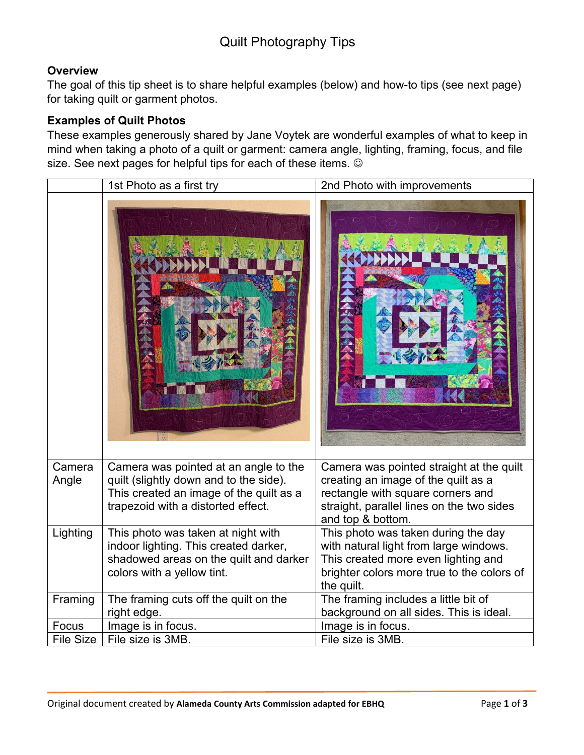## Quilt Photography Tips

#### **Overview**

The goal of this tip sheet is to share helpful examples (below) and how-to tips (see next page) for taking quilt or garment photos.

#### **Examples of Quilt Photos**

These examples generously shared by Jane Voytek are wonderful examples of what to keep in mind when taking a photo of a quilt or garment: camera angle, lighting, framing, focus, and file size. See next pages for helpful tips for each of these items.  $\odot$ 

|                  | 1st Photo as a first try                                                                                                                                         | 2nd Photo with improvements                                                                                                                                                            |
|------------------|------------------------------------------------------------------------------------------------------------------------------------------------------------------|----------------------------------------------------------------------------------------------------------------------------------------------------------------------------------------|
|                  |                                                                                                                                                                  |                                                                                                                                                                                        |
| Camera<br>Angle  | Camera was pointed at an angle to the<br>quilt (slightly down and to the side).<br>This created an image of the quilt as a<br>trapezoid with a distorted effect. | Camera was pointed straight at the quilt<br>creating an image of the quilt as a<br>rectangle with square corners and<br>straight, parallel lines on the two sides<br>and top & bottom. |
| Lighting         | This photo was taken at night with<br>indoor lighting. This created darker,<br>shadowed areas on the quilt and darker<br>colors with a yellow tint.              | This photo was taken during the day<br>with natural light from large windows.<br>This created more even lighting and<br>brighter colors more true to the colors of<br>the quilt.       |
| Framing          | The framing cuts off the quilt on the<br>right edge.                                                                                                             | The framing includes a little bit of<br>background on all sides. This is ideal.                                                                                                        |
| Focus            | Image is in focus.                                                                                                                                               | Image is in focus.                                                                                                                                                                     |
| <b>File Size</b> | File size is 3MB.                                                                                                                                                | File size is 3MB.                                                                                                                                                                      |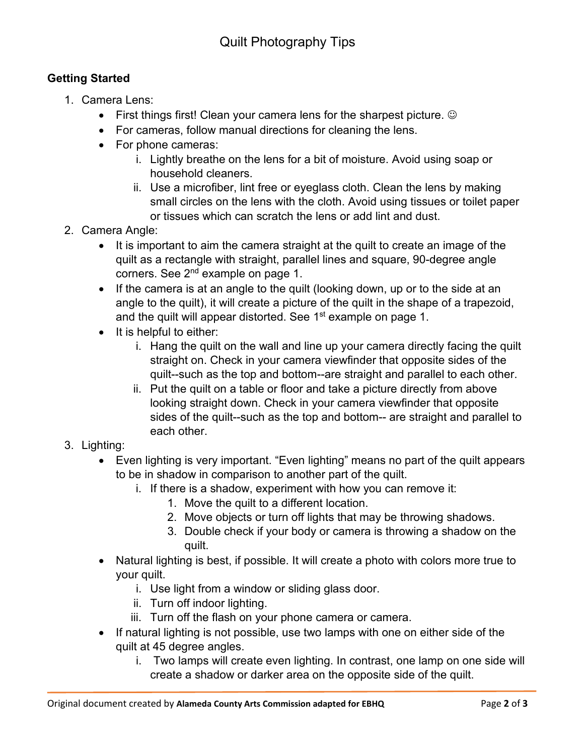### **Getting Started**

- 1. Camera Lens:
	- First things first! Clean your camera lens for the sharpest picture.  $\odot$
	- For cameras, follow manual directions for cleaning the lens.
	- For phone cameras:
		- i. Lightly breathe on the lens for a bit of moisture. Avoid using soap or household cleaners.
		- ii. Use a microfiber, lint free or eyeglass cloth. Clean the lens by making small circles on the lens with the cloth. Avoid using tissues or toilet paper or tissues which can scratch the lens or add lint and dust.
- 2. Camera Angle:
	- It is important to aim the camera straight at the quilt to create an image of the quilt as a rectangle with straight, parallel lines and square, 90-degree angle corners. See 2<sup>nd</sup> example on page 1.
	- If the camera is at an angle to the quilt (looking down, up or to the side at an angle to the quilt), it will create a picture of the quilt in the shape of a trapezoid, and the quilt will appear distorted. See  $1<sup>st</sup>$  example on page 1.
	- It is helpful to either:
		- i. Hang the quilt on the wall and line up your camera directly facing the quilt straight on. Check in your camera viewfinder that opposite sides of the quilt--such as the top and bottom--are straight and parallel to each other.
		- ii. Put the quilt on a table or floor and take a picture directly from above looking straight down. Check in your camera viewfinder that opposite sides of the quilt--such as the top and bottom-- are straight and parallel to each other.
- 3. Lighting:
	- Even lighting is very important. "Even lighting" means no part of the quilt appears to be in shadow in comparison to another part of the quilt.
		- i. If there is a shadow, experiment with how you can remove it:
			- 1. Move the quilt to a different location.
			- 2. Move objects or turn off lights that may be throwing shadows.
			- 3. Double check if your body or camera is throwing a shadow on the quilt.
	- Natural lighting is best, if possible. It will create a photo with colors more true to your quilt.
		- i. Use light from a window or sliding glass door.
		- ii. Turn off indoor lighting.
		- iii. Turn off the flash on your phone camera or camera.
	- If natural lighting is not possible, use two lamps with one on either side of the quilt at 45 degree angles.
		- i. Two lamps will create even lighting. In contrast, one lamp on one side will create a shadow or darker area on the opposite side of the quilt.